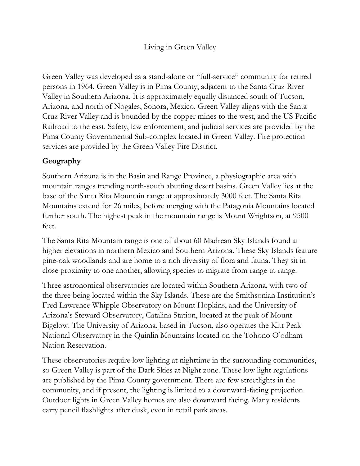## Living in Green Valley

Green Valley was developed as a stand-alone or "full-service" community for retired persons in 1964. Green Valley is in Pima County, adjacent to the Santa Cruz River Valley in Southern Arizona. It is approximately equally distanced south of Tucson, Arizona, and north of Nogales, Sonora, Mexico. Green Valley aligns with the Santa Cruz River Valley and is bounded by the copper mines to the west, and the US Pacific Railroad to the east. Safety, law enforcement, and judicial services are provided by the Pima County Governmental Sub-complex located in Green Valley. Fire protection services are provided by the Green Valley Fire District.

# **Geography**

Southern Arizona is in the Basin and Range Province, a physiographic area with mountain ranges trending north-south abutting desert basins. Green Valley lies at the base of the Santa Rita Mountain range at approximately 3000 feet. The Santa Rita Mountains extend for 26 miles, before merging with the Patagonia Mountains located further south. The highest peak in the mountain range is Mount Wrightson, at 9500 feet.

The Santa Rita Mountain range is one of about 60 Madrean Sky Islands found at higher elevations in northern Mexico and Southern Arizona. These Sky Islands feature pine-oak woodlands and are home to a rich diversity of flora and fauna. They sit in close proximity to one another, allowing species to migrate from range to range.

Three astronomical observatories are located within Southern Arizona, with two of the three being located within the Sky Islands. These are the Smithsonian Institution's Fred Lawrence Whipple Observatory on Mount Hopkins, and the University of Arizona's Steward Observatory, Catalina Station, located at the peak of Mount Bigelow. The University of Arizona, based in Tucson, also operates the Kitt Peak National Observatory in the Quinlin Mountains located on the Tohono O'odham Nation Reservation.

These observatories require low lighting at nighttime in the surrounding communities, so Green Valley is part of the Dark Skies at Night zone. These low light regulations are published by the Pima County government. There are few streetlights in the community, and if present, the lighting is limited to a downward-facing projection. Outdoor lights in Green Valley homes are also downward facing. Many residents carry pencil flashlights after dusk, even in retail park areas.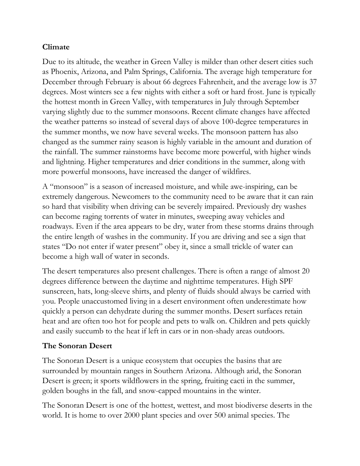# **Climate**

Due to its altitude, the weather in Green Valley is milder than other desert cities such as Phoenix, Arizona, and Palm Springs, California. The average high temperature for December through February is about 66 degrees Fahrenheit, and the average low is 37 degrees. Most winters see a few nights with either a soft or hard frost. June is typically the hottest month in Green Valley, with temperatures in July through September varying slightly due to the summer monsoons. Recent climate changes have affected the weather patterns so instead of several days of above 100-degree temperatures in the summer months, we now have several weeks. The monsoon pattern has also changed as the summer rainy season is highly variable in the amount and duration of the rainfall. The summer rainstorms have become more powerful, with higher winds and lightning. Higher temperatures and drier conditions in the summer, along with more powerful monsoons, have increased the danger of wildfires.

A "monsoon" is a season of increased moisture, and while awe-inspiring, can be extremely dangerous. Newcomers to the community need to be aware that it can rain so hard that visibility when driving can be severely impaired. Previously dry washes can become raging torrents of water in minutes, sweeping away vehicles and roadways. Even if the area appears to be dry, water from these storms drains through the entire length of washes in the community. If you are driving and see a sign that states "Do not enter if water present" obey it, since a small trickle of water can become a high wall of water in seconds.

The desert temperatures also present challenges. There is often a range of almost 20 degrees difference between the daytime and nighttime temperatures. High SPF sunscreen, hats, long-sleeve shirts, and plenty of fluids should always be carried with you. People unaccustomed living in a desert environment often underestimate how quickly a person can dehydrate during the summer months. Desert surfaces retain heat and are often too hot for people and pets to walk on. Children and pets quickly and easily succumb to the heat if left in cars or in non-shady areas outdoors.

## **The Sonoran Desert**

The Sonoran Desert is a unique ecosystem that occupies the basins that are surrounded by mountain ranges in Southern Arizona. Although arid, the Sonoran Desert is green; it sports wildflowers in the spring, fruiting cacti in the summer, golden boughs in the fall, and snow-capped mountains in the winter.

The Sonoran Desert is one of the hottest, wettest, and most biodiverse deserts in the world. It is home to over 2000 plant species and over 500 animal species. The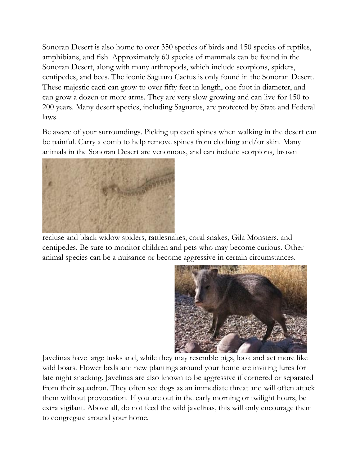Sonoran Desert is also home to over 350 species of birds and 150 species of reptiles, amphibians, and fish. Approximately 60 species of mammals can be found in the Sonoran Desert, along with many arthropods, which include scorpions, spiders, centipedes, and bees. The iconic Saguaro Cactus is only found in the Sonoran Desert. These majestic cacti can grow to over fifty feet in length, one foot in diameter, and can grow a dozen or more arms. They are very slow growing and can live for 150 to 200 years. Many desert species, including Saguaros, are protected by State and Federal laws.

Be aware of your surroundings. Picking up cacti spines when walking in the desert can be painful. Carry a comb to help remove spines from clothing and/or skin. Many animals in the Sonoran Desert are venomous, and can include scorpions, brown



recluse and black widow spiders, rattlesnakes, coral snakes, Gila Monsters, and centipedes. Be sure to monitor children and pets who may become curious. Other animal species can be a nuisance or become aggressive in certain circumstances.



Javelinas have large tusks and, while they may resemble pigs, look and act more like wild boars. Flower beds and new plantings around your home are inviting lures for late night snacking. Javelinas are also known to be aggressive if cornered or separated from their squadron. They often see dogs as an immediate threat and will often attack them without provocation. If you are out in the early morning or twilight hours, be extra vigilant. Above all, do not feed the wild javelinas, this will only encourage them to congregate around your home.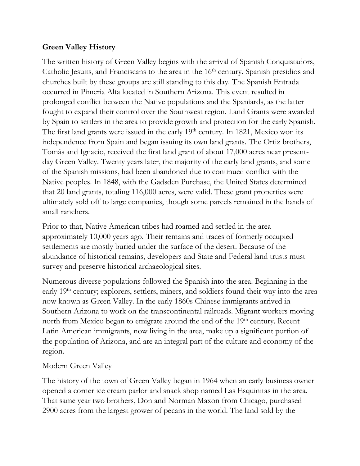#### **Green Valley History**

The written history of Green Valley begins with the arrival of Spanish Conquistadors, Catholic Jesuits, and Franciscans to the area in the 16<sup>th</sup> century. Spanish presidios and churches built by these groups are still standing to this day. The Spanish Entrada occurred in Pimeria Alta located in Southern Arizona. This event resulted in prolonged conflict between the Native populations and the Spaniards, as the latter fought to expand their control over the Southwest region. Land Grants were awarded by Spain to settlers in the area to provide growth and protection for the early Spanish. The first land grants were issued in the early  $19<sup>th</sup>$  century. In 1821, Mexico won its independence from Spain and began issuing its own land grants. The Ortiz brothers, Tomás and Ignacio, received the first land grant of about 17,000 acres near presentday Green Valley. Twenty years later, the majority of the early land grants, and some of the Spanish missions, had been abandoned due to continued conflict with the Native peoples. In 1848, with the Gadsden Purchase, the United States determined that 20 land grants, totaling 116,000 acres, were valid. These grant properties were ultimately sold off to large companies, though some parcels remained in the hands of small ranchers.

Prior to that, Native American tribes had roamed and settled in the area approximately 10,000 years ago. Their remains and traces of formerly occupied settlements are mostly buried under the surface of the desert. Because of the abundance of historical remains, developers and State and Federal land trusts must survey and preserve historical archaeological sites.

Numerous diverse populations followed the Spanish into the area. Beginning in the early 19<sup>th</sup> century; explorers, settlers, miners, and soldiers found their way into the area now known as Green Valley. In the early 1860s Chinese immigrants arrived in Southern Arizona to work on the transcontinental railroads. Migrant workers moving north from Mexico began to emigrate around the end of the 19<sup>th</sup> century. Recent Latin American immigrants, now living in the area, make up a significant portion of the population of Arizona, and are an integral part of the culture and economy of the region.

#### Modern Green Valley

The history of the town of Green Valley began in 1964 when an early business owner opened a corner ice cream parlor and snack shop named Las Esquinitas in the area. That same year two brothers, Don and Norman Maxon from Chicago, purchased 2900 acres from the largest grower of pecans in the world. The land sold by the